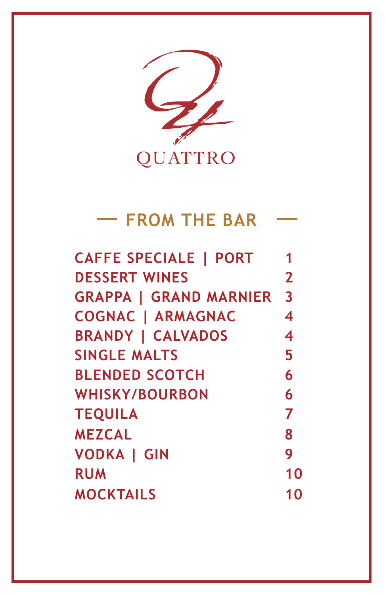

# **FROM THE BAR**

| <b>CAFFE SPECIALE   PORT</b>  | 1                       |
|-------------------------------|-------------------------|
| <b>DESSERT WINES</b>          | $\overline{2}$          |
| <b>GRAPPA   GRAND MARNIER</b> | $\overline{\mathbf{3}}$ |
| <b>COGNAC   ARMAGNAC</b>      | 4                       |
| <b>BRANDY   CALVADOS</b>      | $\overline{\mathbf{4}}$ |
| <b>SINGLE MALTS</b>           | 5                       |
| <b>BLENDED SCOTCH</b>         | 6                       |
| <b>WHISKY/BOURBON</b>         | 6                       |
| <b>TEQUILA</b>                | $\overline{7}$          |
| <b>MEZCAL</b>                 | 8                       |
| <b>VODKA   GIN</b>            | 9                       |
| <b>RUM</b>                    | 10                      |
| <b>MOCKTAILS</b>              | 10                      |
|                               |                         |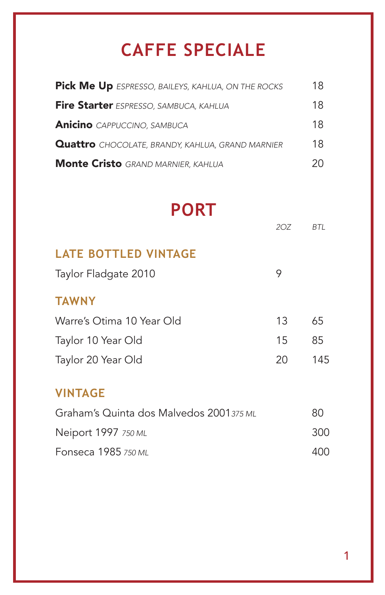# **CAFFE SPECIALE**

| Pick Me Up ESPRESSO, BAILEYS, KAHLUA, ON THE ROCKS      | 18  |
|---------------------------------------------------------|-----|
| Fire Starter ESPRESSO, SAMBUCA, KAHLUA                  | 18. |
| <b>Anicino</b> CAPPUCCINO, SAMBUCA                      | 18. |
| <b>Quattro</b> CHOCOLATE, BRANDY, KAHLUA, GRAND MARNIER | 18  |
| <b>Monte Cristo</b> GRAND MARNIER, KAHLUA               | 20. |

### **PORT**

|                                         | 2OZ | <b>BTL</b> |
|-----------------------------------------|-----|------------|
| <b>LATE BOTTLED VINTAGE</b>             |     |            |
| Taylor Fladgate 2010                    | 9   |            |
| <b>TAWNY</b>                            |     |            |
| Warre's Otima 10 Year Old               | 13  | 65         |
| Taylor 10 Year Old                      | 15  | 85         |
| Taylor 20 Year Old                      | 20  | 145        |
| <b>VINTAGE</b>                          |     |            |
| Graham's Quinta dos Malvedos 2001375 ML |     | 80         |
| Neiport 1997 750 ML                     |     | 300        |

Fonseca 1985 *750 ML* 400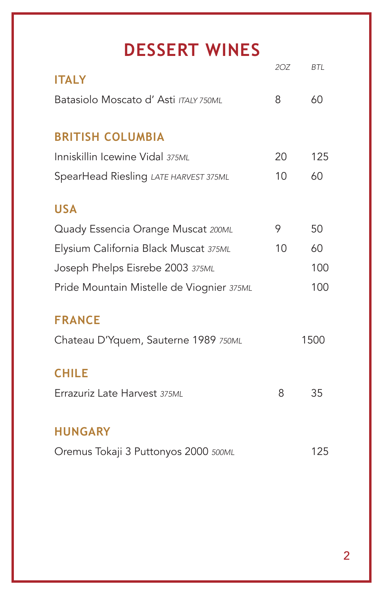# **DESSERT WINES**

| <b>ITALY</b>                              | 2OZ | <b>BTL</b> |
|-------------------------------------------|-----|------------|
| Batasiolo Moscato d'Asti ITALY 750ML      | 8   | 60         |
| <b>BRITISH COLUMBIA</b>                   |     |            |
| Inniskillin Icewine Vidal 375ML           | 20  | 125        |
| SpearHead Riesling LATE HARVEST 375ML     | 10  | 60         |
| <b>USA</b>                                |     |            |
| Quady Essencia Orange Muscat 200ML        | 9   | 50         |
| Elysium California Black Muscat 375ML     | 10  | 60         |
| Joseph Phelps Eisrebe 2003 375ML          |     | 100        |
| Pride Mountain Mistelle de Viognier 375ML |     | 100        |
| <b>FRANCE</b>                             |     |            |
| Chateau D'Yquem, Sauterne 1989 750ML      |     | 1500       |
| <b>CHILE</b>                              |     |            |
| Errazuriz Late Harvest 375ML              | 8   | 35         |
| <b>HUNGARY</b>                            |     |            |

| Oremus Tokaji 3 Puttonyos 2000 500ML |  | 125 |
|--------------------------------------|--|-----|
|--------------------------------------|--|-----|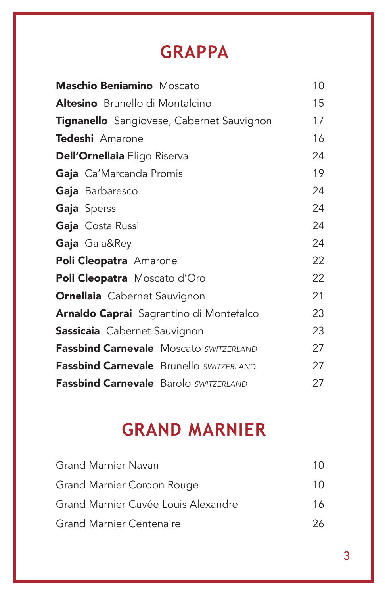## **GRAPPA**

| <b>Maschio Beniamino</b> Moscato               | 10 |
|------------------------------------------------|----|
| Altesino Brunello di Montalcino                | 15 |
| Tignanello Sangiovese, Cabernet Sauvignon      | 17 |
| Tedeshi Amarone                                | 16 |
| Dell'Ornellaia Eligo Riserva                   | 24 |
| Gaja Ca'Marcanda Promis                        | 19 |
| Gaja Barbaresco                                | 24 |
| Gaja Sperss                                    | 24 |
| Gaja Costa Russi                               | 24 |
| Gaja Gaia&Rey                                  | 24 |
| Poli Cleopatra Amarone                         | 22 |
| Poli Cleopatra Moscato d'Oro                   | 22 |
| <b>Ornellaia</b> Cabernet Sauvignon            | 21 |
| <b>Arnaldo Caprai</b> Sagrantino di Montefalco | 23 |
| <b>Sassicaia</b> Cabernet Sauvignon            | 23 |
| <b>Fassbind Carnevale Moscato SWITZERLAND</b>  | 27 |
| <b>Fassbind Carnevale Brunello SWITZERLAND</b> | 27 |
| <b>Fassbind Carnevale</b> Barolo SWITZERLAND   | 27 |

# **GRAND MARNIER**

| <b>Grand Marnier Navan</b>          | 10 |
|-------------------------------------|----|
| Grand Marnier Cordon Rouge          | 10 |
| Grand Marnier Cuvée Louis Alexandre | 16 |
| <b>Grand Marnier Centenaire</b>     | 26 |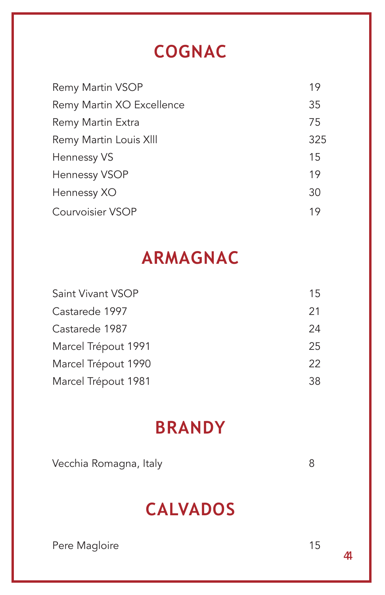# **COGNAC**

| Remy Martin VSOP          | 19  |
|---------------------------|-----|
| Remy Martin XO Excellence | 35  |
| Remy Martin Extra         | 75  |
| Remy Martin Louis XIII    | 325 |
| Hennessy VS               | 15  |
| <b>Hennessy VSOP</b>      | 19  |
| Hennessy XO               | 30  |
| Courvoisier VSOP          | 19  |

## **ARMAGNAC**

| Saint Vivant VSOP   | 15  |
|---------------------|-----|
| Castarede 1997      | 21  |
| Castarede 1987      | 24  |
| Marcel Trépout 1991 | 25  |
| Marcel Trépout 1990 | 22  |
| Marcel Trépout 1981 | 38. |

### **BRANDY**

Vecchia Romagna, Italy 8

# **CALVADOS**

Pere Magloire **15**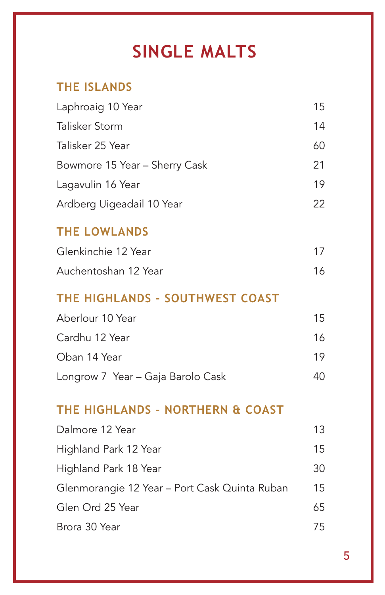# **SINGLE MALTS**

#### **THE ISLANDS**

| Laphroaig 10 Year                             | 15 |
|-----------------------------------------------|----|
| Talisker Storm                                | 14 |
| Talisker 25 Year                              | 60 |
| Bowmore 15 Year - Sherry Cask                 | 21 |
| Lagavulin 16 Year                             | 19 |
| Ardberg Uigeadail 10 Year                     | 22 |
| <b>THE LOWLANDS</b>                           |    |
| Glenkinchie 12 Year                           | 17 |
| Auchentoshan 12 Year                          | 16 |
| THE HIGHLANDS - SOUTHWEST COAST               |    |
| Aberlour 10 Year                              | 15 |
| Cardhu 12 Year                                | 16 |
| Oban 14 Year                                  | 19 |
| Longrow 7 Year - Gaja Barolo Cask             | 40 |
| THE HIGHLANDS - NORTHERN & COAST              |    |
| Dalmore 12 Year                               | 13 |
| Highland Park 12 Year                         | 15 |
| Highland Park 18 Year                         | 30 |
| Glenmorangie 12 Year - Port Cask Quinta Ruban | 15 |
| Glen Ord 25 Year                              | 65 |
| Brora 30 Year                                 | 75 |
|                                               |    |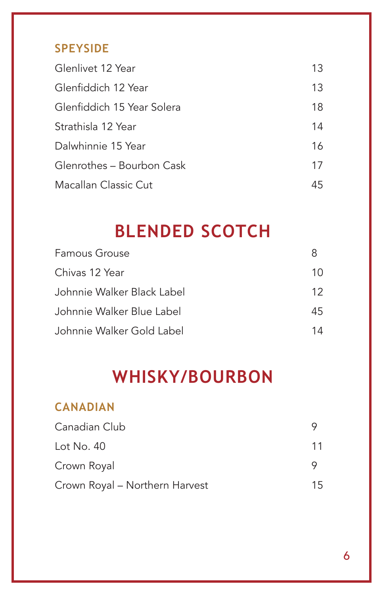#### **SPEYSIDE**

| Glenlivet 12 Year          | 13 |
|----------------------------|----|
| Glenfiddich 12 Year        | 13 |
| Glenfiddich 15 Year Solera | 18 |
| Strathisla 12 Year         | 14 |
| Dalwhinnie 15 Year         | 16 |
| Glenrothes - Bourbon Cask  | 17 |
| Macallan Classic Cut       | 45 |

# **BLENDED SCOTCH**

| <b>Famous Grouse</b>       |     |
|----------------------------|-----|
| Chivas 12 Year             | 10  |
| Johnnie Walker Black Label | 12  |
| Johnnie Walker Blue Label  | 45. |
| Johnnie Walker Gold Label  | 14  |

### **WHISKY/BOURBON**

#### **CANADIAN**

| Canadian Club                  |    |
|--------------------------------|----|
| Lot No. 40                     | 11 |
| Crown Royal                    |    |
| Crown Royal - Northern Harvest | 15 |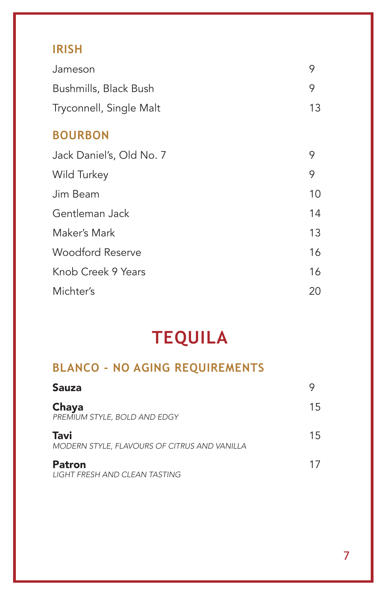#### **IRISH**

| Jameson                  | 9  |
|--------------------------|----|
| Bushmills, Black Bush    | 9  |
| Tryconnell, Single Malt  | 13 |
| <b>BOURBON</b>           |    |
| Jack Daniel's, Old No. 7 | 9  |
| Wild Turkey              | 9  |
| Jim Beam                 | 10 |
| Gentleman Jack           | 14 |
| Maker's Mark             | 13 |
| <b>Woodford Reserve</b>  | 16 |
| Knob Creek 9 Years       | 16 |
| Michter's                | 20 |

# **TEQUILA**

### **BLANCO - NO AGING REQUIREMENTS**

| Sauza                                                |    |
|------------------------------------------------------|----|
| Chaya<br>PREMIUM STYLE, BOLD AND EDGY                | 15 |
| Tavi<br>MODERN STYLE, FLAVOURS OF CITRUS AND VANILLA | 15 |
| <b>Patron</b><br>LIGHT FRESH AND CLEAN TASTING       | 17 |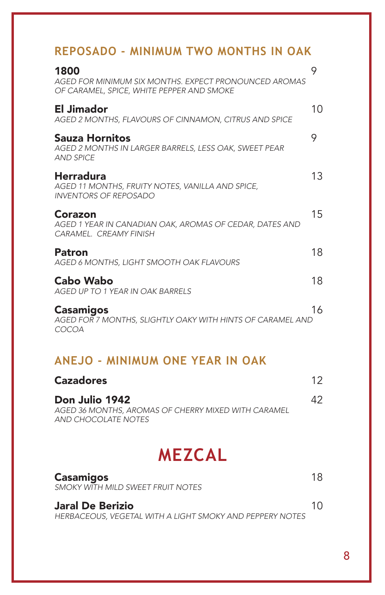#### **REPOSADO - MINIMUM TWO MONTHS IN OAK**

| 1800<br>AGED FOR MINIMUM SIX MONTHS. EXPECT PRONOUNCED AROMAS<br>OF CARAMEL, SPICE, WHITE PEPPER AND SMOKE | 9  |
|------------------------------------------------------------------------------------------------------------|----|
| El Jimador<br>AGED 2 MONTHS, FLAVOURS OF CINNAMON, CITRUS AND SPICE                                        | 10 |
| <b>Sauza Hornitos</b><br>AGED 2 MONTHS IN LARGER BARRELS, LESS OAK, SWEET PEAR<br><b>AND SPICE</b>         | 9  |
| <b>Herradura</b><br>AGED 11 MONTHS, FRUITY NOTES, VANILLA AND SPICE,<br><b>INVENTORS OF REPOSADO</b>       | 13 |
| Corazon<br>AGED 1 YEAR IN CANADIAN OAK. AROMAS OF CEDAR. DATES AND<br>CARAMEL. CREAMY FINISH               | 15 |
| <b>Patron</b><br>AGED 6 MONTHS, LIGHT SMOOTH OAK FLAVOURS                                                  | 18 |
| Cabo Wabo<br>AGED UP TO 1 YEAR IN OAK BARRELS                                                              | 18 |
| <b>Casamigos</b><br>AGED FOR 7 MONTHS, SLIGHTLY OAKY WITH HINTS OF CARAMEL AND<br><b>COCOA</b>             | 16 |

#### **ANEJO - MINIMUM ONE YEAR IN OAK**

| <b>Cazadores</b>                                    | 12 |
|-----------------------------------------------------|----|
| Don Julio 1942                                      | 42 |
| AGED 36 MONTHS, AROMAS OF CHERRY MIXED WITH CARAMEL |    |
| AND CHOCOLATE NOTES                                 |    |

### **MEZCAL**

| <b>Casamigos</b><br><b>SMOKY WITH MILD SWEET FRUIT NOTES</b>                 | 18 |
|------------------------------------------------------------------------------|----|
| Jaral De Berizio<br>HERBACEOUS, VEGETAL WITH A LIGHT SMOKY AND PEPPERY NOTES | 10 |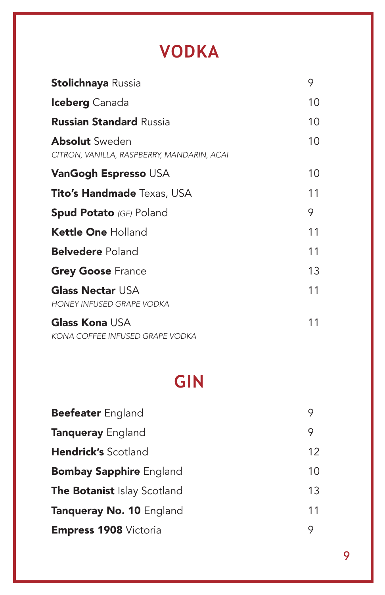# **VODKA**

| <b>Stolichnaya Russia</b>                                           | 9  |
|---------------------------------------------------------------------|----|
| <b>Iceberg</b> Canada                                               | 10 |
| <b>Russian Standard Russia</b>                                      | 10 |
| <b>Absolut</b> Sweden<br>CITRON, VANILLA, RASPBERRY, MANDARIN, ACAI | 10 |
| <b>VanGogh Espresso USA</b>                                         | 10 |
| <b>Tito's Handmade</b> Texas, USA                                   | 11 |
| <b>Spud Potato</b> (GF) Poland                                      | 9  |
| <b>Kettle One</b> Holland                                           | 11 |
| <b>Belvedere</b> Poland                                             | 11 |
| <b>Grey Goose France</b>                                            | 13 |
| <b>Glass Nectar USA</b><br><b>HONEY INFUSED GRAPE VODKA</b>         | 11 |
| <b>Glass Kona USA</b><br>KONA COFFEE INFUSED GRAPE VODKA            | 11 |

# **GIN**

| <b>Beefeater</b> England           |    |
|------------------------------------|----|
| Tanqueray England                  | 9  |
| <b>Hendrick's Scotland</b>         | 12 |
| <b>Bombay Sapphire England</b>     | 10 |
| <b>The Botanist Islay Scotland</b> | 13 |
| Tanqueray No. 10 England           | 11 |
| <b>Empress 1908</b> Victoria       | 9  |